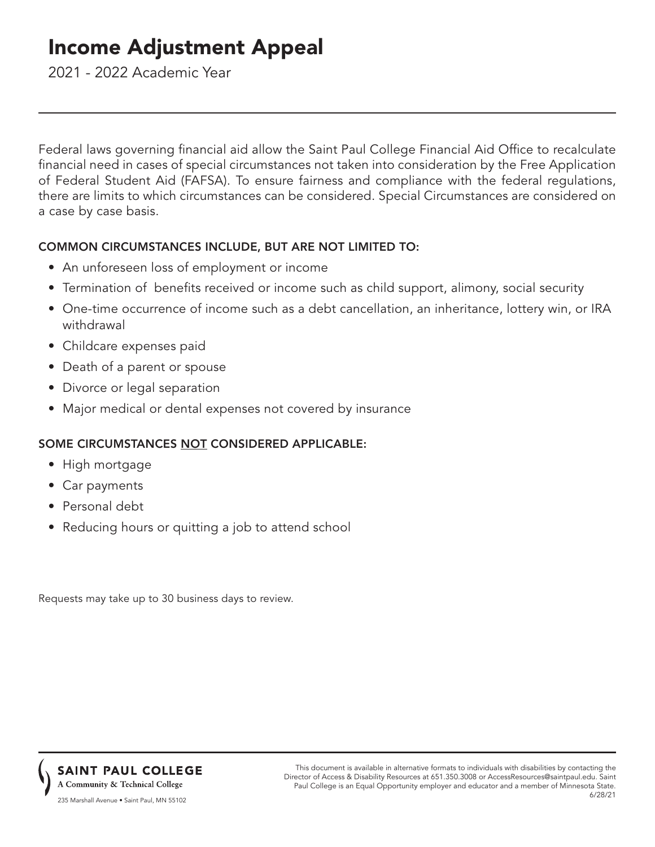# Income Adjustment Appeal

2021 - 2022 Academic Year

Federal laws governing financial aid allow the Saint Paul College Financial Aid Office to recalculate financial need in cases of special circumstances not taken into consideration by the Free Application of Federal Student Aid (FAFSA). To ensure fairness and compliance with the federal regulations, there are limits to which circumstances can be considered. Special Circumstances are considered on a case by case basis.

# COMMON CIRCUMSTANCES INCLUDE, BUT ARE NOT LIMITED TO:

- An unforeseen loss of employment or income
- Termination of benefits received or income such as child support, alimony, social security
- One-time occurrence of income such as a debt cancellation, an inheritance, lottery win, or IRA withdrawal
- Childcare expenses paid
- Death of a parent or spouse
- Divorce or legal separation
- Major medical or dental expenses not covered by insurance

# SOME CIRCUMSTANCES NOT CONSIDERED APPLICABLE:

- High mortgage
- Car payments
- Personal debt
- Reducing hours or quitting a job to attend school

Requests may take up to 30 business days to review.



This document is available in alternative formats to individuals with disabilities by contacting the Director of Access & Disability Resources at 651.350.3008 or AccessResources@saintpaul.edu. Saint Paul College is an Equal Opportunity employer and educator and a member of Minnesota State. 6/28/21